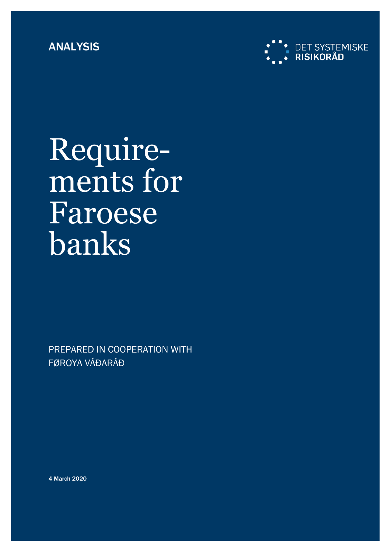

Requirements for Faroese banks

PREPARED IN COOPERATION WITH FØROYA VÁÐARÁÐ

4 March 2020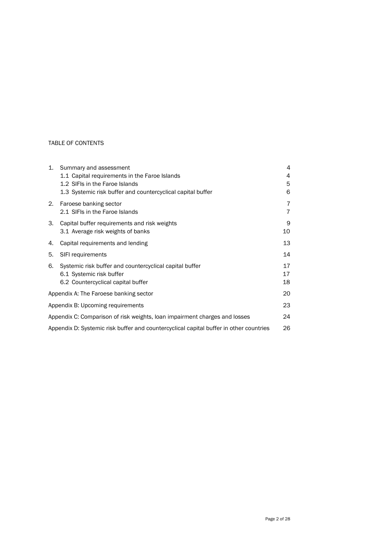### TABLE OF CONTENTS

| 1.                                                                                           | Summary and assessment                                      | 4  |  |  |
|----------------------------------------------------------------------------------------------|-------------------------------------------------------------|----|--|--|
|                                                                                              | 1.1 Capital requirements in the Faroe Islands               | 4  |  |  |
|                                                                                              | 1.2 SIFIs in the Faroe Islands                              | 5  |  |  |
|                                                                                              | 1.3 Systemic risk buffer and countercyclical capital buffer | 6  |  |  |
| 2.                                                                                           | Faroese banking sector                                      | 7  |  |  |
|                                                                                              | 2.1 SIFIs in the Faroe Islands                              | 7  |  |  |
| 3.                                                                                           | Capital buffer requirements and risk weights                | 9  |  |  |
|                                                                                              | 3.1 Average risk weights of banks                           | 10 |  |  |
| 4.                                                                                           | Capital requirements and lending                            | 13 |  |  |
| 5.                                                                                           | SIFI requirements                                           | 14 |  |  |
| 6.                                                                                           | Systemic risk buffer and countercyclical capital buffer     | 17 |  |  |
|                                                                                              | 6.1 Systemic risk buffer                                    | 17 |  |  |
|                                                                                              | 6.2 Countercyclical capital buffer                          | 18 |  |  |
|                                                                                              | Appendix A: The Faroese banking sector                      |    |  |  |
| Appendix B: Upcoming requirements                                                            |                                                             |    |  |  |
| Appendix C: Comparison of risk weights, loan impairment charges and losses                   |                                                             |    |  |  |
| 26<br>Appendix D: Systemic risk buffer and countercyclical capital buffer in other countries |                                                             |    |  |  |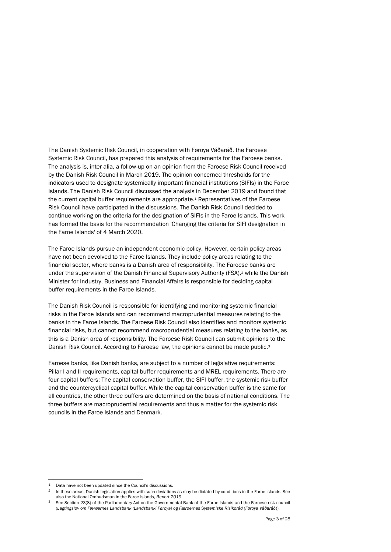The Danish Systemic Risk Council, in cooperation with Føroya Váðaráð, the Faroese Systemic Risk Council, has prepared this analysis of requirements for the Faroese banks. The analysis is, inter alia, a follow-up on an opinion from the Faroese Risk Council received by the Danish Risk Council in March 2019. The opinion concerned thresholds for the indicators used to designate systemically important financial institutions (SIFIs) in the Faroe Islands. The Danish Risk Council discussed the analysis in December 2019 and found that the current capital buffer requirements are appropriate.<sup>1</sup> Representatives of the Faroese Risk Council have participated in the discussions. The Danish Risk Council decided to continue working on the criteria for the designation of SIFIs in the Faroe Islands. This work has formed the basis for the recommendation 'Changing the criteria for SIFI designation in the Faroe Islands' of 4 March 2020.

The Faroe Islands pursue an independent economic policy. However, certain policy areas have not been devolved to the Faroe Islands. They include policy areas relating to the financial sector, where banks is a Danish area of responsibility. The Faroese banks are under the supervision of the Danish Financial Supervisory Authority (FSA),<sup>2</sup> while the Danish Minister for Industry, Business and Financial Affairs is responsible for deciding capital buffer requirements in the Faroe Islands.

The Danish Risk Council is responsible for identifying and monitoring systemic financial risks in the Faroe Islands and can recommend macroprudential measures relating to the banks in the Faroe Islands. The Faroese Risk Council also identifies and monitors systemic financial risks, but cannot recommend macroprudential measures relating to the banks, as this is a Danish area of responsibility. The Faroese Risk Council can submit opinions to the Danish Risk Council. According to Faroese law, the opinions cannot be made public.<sup>3</sup>

Faroese banks, like Danish banks, are subject to a number of legislative requirements: Pillar I and II requirements, capital buffer requirements and MREL requirements. There are four capital buffers: The capital conservation buffer, the SIFI buffer, the systemic risk buffer and the countercyclical capital buffer. While the capital conservation buffer is the same for all countries, the other three buffers are determined on the basis of national conditions. The three buffers are macroprudential requirements and thus a matter for the systemic risk councils in the Faroe Islands and Denmark.

<sup>1</sup> Data have not been updated since the Council's discussions.

<sup>&</sup>lt;sup>2</sup> In these areas, Danish legislation applies with such deviations as may be dictated by conditions in the Faroe Islands. See also the National Ombudsman in the Faroe Islands, *Report 2019*.

<sup>&</sup>lt;sup>3</sup> See Section 23(8) of the Parliamentary Act on the Governmental Bank of the Faroe Islands and the Faroese risk council (*Lagtingslov om Færøernes Landsbank (Landsbanki Føroya) og Færøernes Systemiske Risikoråd (Føroya Váðaráð*)).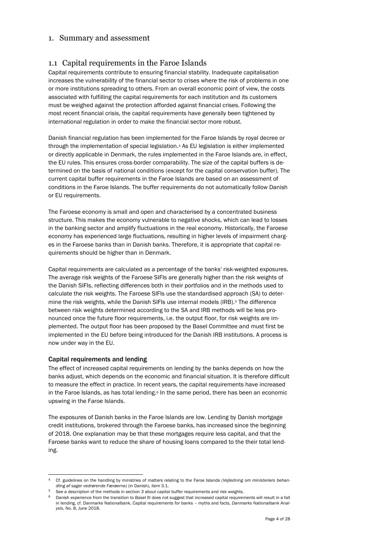## <span id="page-3-1"></span><span id="page-3-0"></span>1. Summary and assessment

## 1.1 Capital requirements in the Faroe Islands

Capital requirements contribute to ensuring financial stability. Inadequate capitalisation increases the vulnerability of the financial sector to crises where the risk of problems in one or more institutions spreading to others. From an overall economic point of view, the costs associated with fulfilling the capital requirements for each institution and its customers must be weighed against the protection afforded against financial crises. Following the most recent financial crisis, the capital requirements have generally been tightened by international regulation in order to make the financial sector more robust.

Danish financial regulation has been implemented for the Faroe Islands by royal decree or through the implementation of special legislation.<sup>4</sup> As EU legislation is either implemented or directly applicable in Denmark, the rules implemented in the Faroe Islands are, in effect, the EU rules. This ensures cross-border comparability. The size of the capital buffers is determined on the basis of national conditions (except for the capital conservation buffer). The current capital buffer requirements in the Faroe Islands are based on an assessment of conditions in the Faroe Islands. The buffer requirements do not automatically follow Danish or EU requirements.

The Faroese economy is small and open and characterised by a concentrated business structure. This makes the economy vulnerable to negative shocks, which can lead to losses in the banking sector and amplify fluctuations in the real economy. Historically, the Faroese economy has experienced large fluctuations, resulting in higher levels of impairment charges in the Faroese banks than in Danish banks. Therefore, it is appropriate that capital requirements should be higher than in Denmark.

Capital requirements are calculated as a percentage of the banks' risk-weighted exposures. The average risk weights of the Faroese SIFIs are generally higher than the risk weights of the Danish SIFIs, reflecting differences both in their portfolios and in the methods used to calculate the risk weights. The Faroese SIFIs use the standardised approach (SA) to determine the risk weights, while the Danish SIFIs use internal models (IRB).<sup>5</sup> The difference between risk weights determined according to the SA and IRB methods will be less pronounced once the future floor requirements, i.e. the output floor, for risk weights are implemented. The output floor has been proposed by the Basel Committee and must first be implemented in the EU before being introduced for the Danish IRB institutions. A process is now under way in the EU.

### Capital requirements and lending

l

The effect of increased capital requirements on lending by the banks depends on how the banks adjust, which depends on the economic and financial situation. It is therefore difficult to measure the effect in practice. In recent years, the capital requirements have increased in the Faroe Islands, as has total lending.<sup>6</sup> In the same period, there has been an economic upswing in the Faroe Islands.

The exposures of Danish banks in the Faroe Islands are low. Lending by Danish mortgage credit institutions, brokered through the Faroese banks, has increased since the beginning of 2018. One explanation may be that these mortgages require less capital, and that the Faroese banks want to reduce the share of housing loans compared to the their total lending.

<sup>4</sup> Cf. guidelines on the handling by ministries of matters relating to the Faroe Islands (*Vejledning om ministeriers behandling af sager vedrørende Færøerne)* (in Danish)*,* item 3.1.

<sup>&</sup>lt;sup>5</sup> See a description of the methods in section 3 about capital buffer requirements and risk weights.

<sup>6</sup> Danish experience from the transition to Basel III does not suggest that increased capital requirements will result in a fall in lending, cf. Danmarks Nationalbank, Capital requirements for banks – myths and facts, *Danmarks Nationalbank Analysis*, No. 8, June 2018.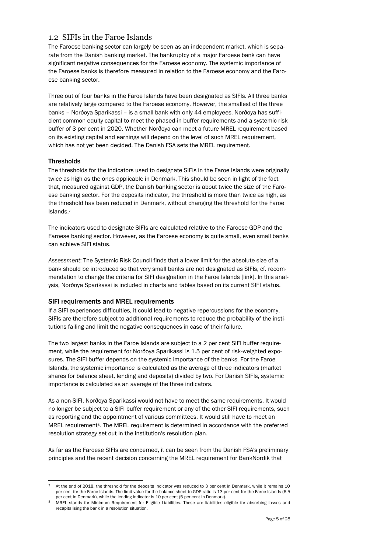## <span id="page-4-0"></span>1.2 SIFIs in the Faroe Islands

The Faroese banking sector can largely be seen as an independent market, which is separate from the Danish banking market. The bankruptcy of a major Faroese bank can have significant negative consequences for the Faroese economy. The systemic importance of the Faroese banks is therefore measured in relation to the Faroese economy and the Faroese banking sector.

Three out of four banks in the Faroe Islands have been designated as SIFIs. All three banks are relatively large compared to the Faroese economy. However, the smallest of the three banks – Norðoya Sparikassi – is a small bank with only 44 employees. Norðoya has sufficient common equity capital to meet the phased-in buffer requirements and a systemic risk buffer of 3 per cent in 2020. Whether Norðoya can meet a future MREL requirement based on its existing capital and earnings will depend on the level of such MREL requirement, which has not yet been decided. The Danish FSA sets the MREL requirement.

### **Thresholds**

l

The thresholds for the indicators used to designate SIFIs in the Faroe Islands were originally twice as high as the ones applicable in Denmark. This should be seen in light of the fact that, measured against GDP, the Danish banking sector is about twice the size of the Faroese banking sector. For the deposits indicator, the threshold is more than twice as high, as the threshold has been reduced in Denmark, without changing the threshold for the Faroe Islands.<sup>7</sup>

The indicators used to designate SIFIs are calculated relative to the Faroese GDP and the Faroese banking sector. However, as the Faroese economy is quite small, even small banks can achieve SIFI status.

*Assessment*: The Systemic Risk Council finds that a lower limit for the absolute size of a bank should be introduced so that very small banks are not designated as SIFIs, cf. recommendation to change the criteria for SIFI designation in the Faroe Islands [link]. In this analysis, Norðoya Sparikassi is included in charts and tables based on its current SIFI status.

## SIFI requirements and MREL requirements

If a SIFI experiences difficulties, it could lead to negative repercussions for the economy. SIFIs are therefore subject to additional requirements to reduce the probability of the institutions failing and limit the negative consequences in case of their failure.

The two largest banks in the Faroe Islands are subject to a 2 per cent SIFI buffer requirement, while the requirement for Norðoya Sparikassi is 1.5 per cent of risk-weighted exposures. The SIFI buffer depends on the systemic importance of the banks. For the Faroe Islands, the systemic importance is calculated as the average of three indicators (market shares for balance sheet, lending and deposits) divided by two. For Danish SIFIs, systemic importance is calculated as an average of the three indicators.

As a non-SIFI, Norðoya Sparikassi would not have to meet the same requirements. It would no longer be subject to a SIFI buffer requirement or any of the other SIFI requirements, such as reporting and the appointment of various committees. It would still have to meet an MREL requirement<sup>8</sup>. The MREL requirement is determined in accordance with the preferred resolution strategy set out in the institution's resolution plan.

As far as the Faroese SIFIs are concerned, it can be seen from the Danish FSA's preliminary principles and the recent decision concerning the MREL requirement for BankNordik that

<sup>7</sup> At the end of 2018, the threshold for the deposits indicator was reduced to 3 per cent in Denmark, while it remains 10 per cent for the Faroe Islands. The limit value for the balance sheet-to-GDP ratio is 13 per cent for the Faroe Islands (6.5 per cent in Denmark), while the lending indicator is 10 per cent (5 per cent in Denmark).

<sup>8</sup> MREL stands for Minimum Requirement for Eligible Liabilities. These are liabilities eligible for absorbing losses and recapitalising the bank in a resolution situation.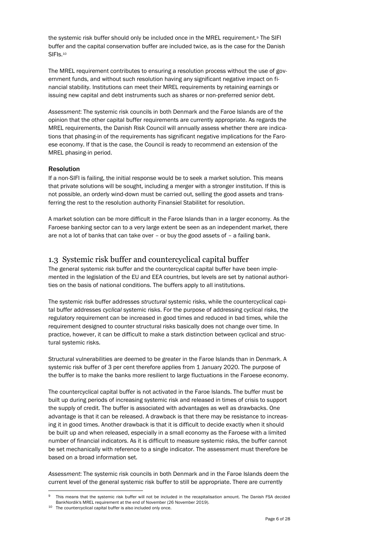the systemic risk buffer should only be included once in the MREL requirement.<sup>9</sup> The SIFI buffer and the capital conservation buffer are included twice, as is the case for the Danish SIFI<sub>s.<sup>10</sup></sub>

The MREL requirement contributes to ensuring a resolution process without the use of government funds, and without such resolution having any significant negative impact on financial stability. Institutions can meet their MREL requirements by retaining earnings or issuing new capital and debt instruments such as shares or non-preferred senior debt.

*Assessment*: The systemic risk councils in both Denmark and the Faroe Islands are of the opinion that the other capital buffer requirements are currently appropriate. As regards the MREL requirements, the Danish Risk Council will annually assess whether there are indications that phasing-in of the requirements has significant negative implications for the Faroese economy. If that is the case, the Council is ready to recommend an extension of the MREL phasing-in period.

### Resolution

If a non-SIFI is failing, the initial response would be to seek a market solution. This means that private solutions will be sought, including a merger with a stronger institution. If this is not possible, an orderly wind-down must be carried out, selling the good assets and transferring the rest to the resolution authority Finansiel Stabilitet for resolution.

A market solution can be more difficult in the Faroe Islands than in a larger economy. As the Faroese banking sector can to a very large extent be seen as an independent market, there are not a lot of banks that can take over – or buy the good assets of – a failing bank.

## <span id="page-5-0"></span>1.3 Systemic risk buffer and countercyclical capital buffer

The general systemic risk buffer and the countercyclical capital buffer have been implemented in the legislation of the EU and EEA countries, but levels are set by national authorities on the basis of national conditions. The buffers apply to all institutions.

The systemic risk buffer addresses *structural* systemic risks, while the countercyclical capital buffer addresses *cyclical* systemic risks. For the purpose of addressing cyclical risks, the regulatory requirement can be increased in good times and reduced in bad times, while the requirement designed to counter structural risks basically does not change over time. In practice, however, it can be difficult to make a stark distinction between cyclical and structural systemic risks.

Structural vulnerabilities are deemed to be greater in the Faroe Islands than in Denmark. A systemic risk buffer of 3 per cent therefore applies from 1 January 2020. The purpose of the buffer is to make the banks more resilient to large fluctuations in the Faroese economy.

The countercyclical capital buffer is not activated in the Faroe Islands. The buffer must be built up during periods of increasing systemic risk and released in times of crisis to support the supply of credit. The buffer is associated with advantages as well as drawbacks. One advantage is that it can be released. A drawback is that there may be resistance to increasing it in good times. Another drawback is that it is difficult to decide exactly when it should be built up and when released, especially in a small economy as the Faroese with a limited number of financial indicators. As it is difficult to measure systemic risks, the buffer cannot be set mechanically with reference to a single indicator. The assessment must therefore be based on a broad information set.

*Assessment*: The systemic risk councils in both Denmark and in the Faroe Islands deem the current level of the general systemic risk buffer to still be appropriate. There are currently

This means that the systemic risk buffer will not be included in the recapitalisation amount. The Danish FSA decided BankNordik's MREL requirement at the end of November (26 November 2019).

<sup>10</sup> The countercyclical capital buffer is also included only once.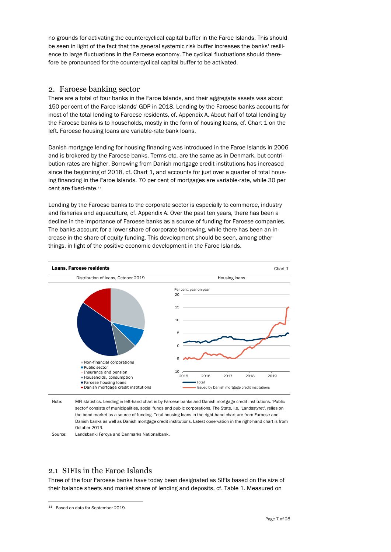no grounds for activating the countercyclical capital buffer in the Faroe Islands. This should be seen in light of the fact that the general systemic risk buffer increases the banks' resilience to large fluctuations in the Faroese economy. The cyclical fluctuations should therefore be pronounced for the countercyclical capital buffer to be activated.

## <span id="page-6-0"></span>2. Faroese banking sector

There are a total of four banks in the Faroe Islands, and their aggregate assets was about 150 per cent of the Faroe Islands' GDP in 2018. Lending by the Faroese banks accounts for most of the total lending to Faroese residents, cf. Appendix A. About half of total lending by the Faroese banks is to households, mostly in the form of housing loans, cf. Chart 1 on the left. Faroese housing loans are variable-rate bank loans.

Danish mortgage lending for housing financing was introduced in the Faroe Islands in 2006 and is brokered by the Faroese banks. Terms etc. are the same as in Denmark, but contribution rates are higher. Borrowing from Danish mortgage credit institutions has increased since the beginning of 2018, cf. Chart 1, and accounts for just over a quarter of total housing financing in the Faroe Islands. 70 per cent of mortgages are variable-rate, while 30 per cent are fixed-rate.<sup>11</sup>

Lending by the Faroese banks to the corporate sector is especially to commerce, industry and fisheries and aquaculture, cf. Appendix A. Over the past ten years, there has been a decline in the importance of Faroese banks as a source of funding for Faroese companies. The banks account for a lower share of corporate borrowing, while there has been an increase in the share of equity funding. This development should be seen, among other things, in light of the positive economic development in the Faroe Islands.



Note: MFI statistics. Lending in left-hand chart is by Faroese banks and Danish mortgage credit institutions. 'Public sector' consists of municipalities, social funds and public corporations. The State, i.e. 'Landsstyret', relies on the bond market as a source of funding. Total housing loans in the right-hand chart are from Faroese and Danish banks as well as Danish mortgage credit institutions. Latest observation in the right-hand chart is from October 2019.

Source: Landsbanki Føroya and Danmarks Nationalbank.

## <span id="page-6-1"></span>2.1 SIFIs in the Faroe Islands

Three of the four Faroese banks have today been designated as SIFIs based on the size of their balance sheets and market share of lending and deposits, cf. Table 1. Measured on

<sup>11</sup> Based on data for September 2019.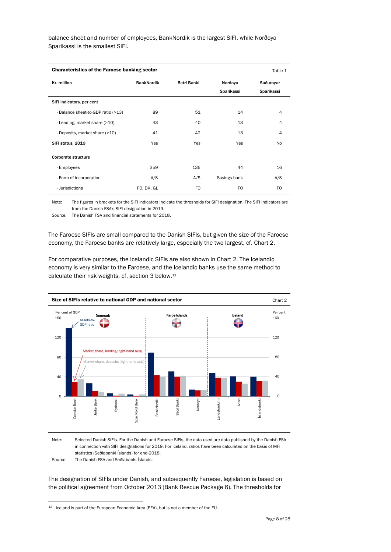balance sheet and number of employees, BankNordik is the largest SIFI, while Norðoya Sparikassi is the smallest SIFI.

| <b>Characteristics of the Faroese banking sector</b><br>Table 1 |                   |             |              |                         |  |  |
|-----------------------------------------------------------------|-------------------|-------------|--------------|-------------------------|--|--|
| Kr. million                                                     | <b>BankNordik</b> | Betri Banki |              | Suðurovar<br>Sparikassi |  |  |
| SIFI indicators, per cent                                       |                   |             |              |                         |  |  |
| - Balance sheet-to-GDP ratio (>13)                              | 89                | 51          | 14           | $\overline{4}$          |  |  |
| - Lending, market share (>10)                                   | 43                | 40          | 13           | $\overline{4}$          |  |  |
| - Deposits, market share (>10)                                  | 41                | 42          | 13           | 4                       |  |  |
| SIFI status, 2019                                               | Yes               | Yes         | Yes          | No.                     |  |  |
| Corporate structure                                             |                   |             |              |                         |  |  |
| - Employees                                                     | 359               | 136         | 44           | 16                      |  |  |
| - Form of incorporation                                         | A/S               | A/S         | Savings bank | A/S                     |  |  |
| - Jurisdictions                                                 | FO, DK, GL        | FO          | FO.          | FO.                     |  |  |

Note: The figures in brackets for the SIFI indicators indicate the thresholds for SIFI designation. The SIFI indicators are from the Danish FSA's SIFI designation in 2019.

Source: The Danish FSA and financial statements for 2018.

The Faroese SIFIs are small compared to the Danish SIFIs, but given the size of the Faroese economy, the Faroese banks are relatively large, especially the two largest, cf. Chart 2.

For comparative purposes, the Icelandic SIFIs are also shown in Chart 2. The Icelandic economy is very similar to the Faroese, and the Icelandic banks use the same method to calculate their risk weights, cf. section 3 below.<sup>12</sup>



Note: Selected Danish SIFIs. For the Danish and Faroese SIFIs, the data used are data published by the Danish FSA in connection with SIFI designations for 2019. For Iceland, ratios have been calculated on the basis of MFI statistics (Seðlabanki Íslands) for end-2018.

Source: The Danish FSA and Seðlabanki Íslands.

l

The designation of SIFIs under Danish, and subsequently Faroese, legislation is based on the political agreement from October 2013 (Bank Rescue Package 6). The thresholds for

<sup>12</sup> Iceland is part of the European Economic Area (EEA), but is not a member of the EU.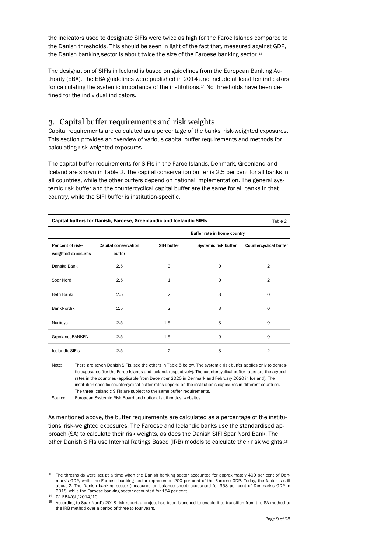the indicators used to designate SIFIs were twice as high for the Faroe Islands compared to the Danish thresholds. This should be seen in light of the fact that, measured against GDP, the Danish banking sector is about twice the size of the Faroese banking sector.<sup>13</sup>

The designation of SIFIs in Iceland is based on guidelines from the European Banking Authority (EBA). The EBA guidelines were published in 2014 and include at least ten indicators for calculating the systemic importance of the institutions.<sup>14</sup> No thresholds have been defined for the individual indicators.

## <span id="page-8-0"></span>3. Capital buffer requirements and risk weights

Capital requirements are calculated as a percentage of the banks' risk-weighted exposures. This section provides an overview of various capital buffer requirements and methods for calculating risk-weighted exposures.

The capital buffer requirements for SIFIs in the Faroe Islands, Denmark, Greenland and Iceland are shown in Table 2. The capital conservation buffer is 2.5 per cent for all banks in all countries, while the other buffers depend on national implementation. The general systemic risk buffer and the countercyclical capital buffer are the same for all banks in that country, while the SIFI buffer is institution-specific.

| Capital buffers for Danish, Faroese, Greenlandic and Icelandic SIFIs<br>Table 2 |                                |                |                             |                               |  |  |
|---------------------------------------------------------------------------------|--------------------------------|----------------|-----------------------------|-------------------------------|--|--|
|                                                                                 |                                |                | Buffer rate in home country |                               |  |  |
| Per cent of risk-<br>weighted exposures                                         | Capital conservation<br>buffer | SIFI buffer    | Systemic risk buffer        | <b>Countercyclical buffer</b> |  |  |
| Danske Bank                                                                     | 2.5                            | 3              | $\Omega$                    | $\overline{2}$                |  |  |
| Spar Nord                                                                       | 2.5                            | $\mathbf{1}$   | $\Omega$                    | $\overline{2}$                |  |  |
| Betri Banki                                                                     | 2.5                            | $\overline{2}$ | 3                           | 0                             |  |  |
| <b>BankNordik</b>                                                               | 2.5                            | $\overline{2}$ | 3                           | $\circ$                       |  |  |
| Norðoya                                                                         | 2.5                            | 1.5            | 3                           | $\Omega$                      |  |  |
| GrønlandsBANKEN                                                                 | 2.5                            | 1.5            | $\Omega$                    | $\Omega$                      |  |  |
| <b>Icelandic SIFIs</b>                                                          | 2.5                            | $\overline{2}$ | 3                           | $\overline{2}$                |  |  |

Note: There are seven Danish SIFIs, see the others in Table 5 below. The systemic risk buffer applies only to domestic exposures (for the Faroe Islands and Iceland, respectively). The countercyclical buffer rates are the agreed rates in the countries (applicable from December 2020 in Denmark and February 2020 in Iceland). The institution-specific countercyclical buffer rates depend on the institution's exposures in different countries. The three Icelandic SIFIs are subject to the same buffer requirements.

Source: European Systemic Risk Board and national authorities' websites.

As mentioned above, the buffer requirements are calculated as a percentage of the institutions' risk-weighted exposures. The Faroese and Icelandic banks use the standardised approach (SA) to calculate their risk weights, as does the Danish SIFI Spar Nord Bank. The other Danish SIFIs use Internal Ratings Based (IRB) models to calculate their risk weights.<sup>15</sup>

<sup>&</sup>lt;sup>13</sup> The thresholds were set at a time when the Danish banking sector accounted for approximately 400 per cent of Denmark's GDP, while the Faroese banking sector represented 200 per cent of the Faroese GDP. Today, the factor is still about 2. The Danish banking sector (measured on balance sheet) accounted for 358 per cent of Denmark's GDP in 2018, while the Faroese banking sector accounted for 154 per cent.

<sup>14</sup> Cf. EBA/GL/2014/10.

<sup>15</sup> According to Spar Nord's 2018 risk report, a project has been launched to enable it to transition from the SA method to the IRB method over a period of three to four years.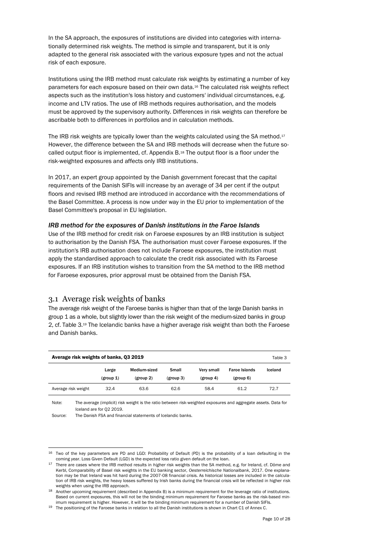In the SA approach, the exposures of institutions are divided into categories with internationally determined risk weights. The method is simple and transparent, but it is only adapted to the general risk associated with the various exposure types and not the actual risk of each exposure.

Institutions using the IRB method must calculate risk weights by estimating a number of key parameters for each exposure based on their own data.<sup>16</sup> The calculated risk weights reflect aspects such as the institution's loss history and customers' individual circumstances, e.g. income and LTV ratios. The use of IRB methods requires authorisation, and the models must be approved by the supervisory authority. Differences in risk weights can therefore be ascribable both to differences in portfolios and in calculation methods.

The IRB risk weights are typically lower than the weights calculated using the SA method.<sup>17</sup> However, the difference between the SA and IRB methods will decrease when the future socalled output floor is implemented, cf. Appendix B.<sup>18</sup> The output floor is a floor under the risk-weighted exposures and affects only IRB institutions.

In 2017, an expert group appointed by the Danish government forecast that the capital requirements of the Danish SIFIs will increase by an average of 34 per cent if the output floors and revised IRB method are introduced in accordance with the recommendations of the Basel Committee. A process is now under way in the EU prior to implementation of the Basel Committee's proposal in EU legislation.

### *IRB method for the exposures of Danish institutions in the Faroe Islands*

Use of the IRB method for credit risk on Faroese exposures by an IRB institution is subject to authorisation by the Danish FSA. The authorisation must cover Faroese exposures. If the institution's IRB authorisation does not include Faroese exposures, the institution must apply the standardised approach to calculate the credit risk associated with its Faroese exposures. If an IRB institution wishes to transition from the SA method to the IRB method for Faroese exposures, prior approval must be obtained from the Danish FSA.

## <span id="page-9-0"></span>3.1 Average risk weights of banks

The average risk weight of the Faroese banks is higher than that of the large Danish banks in group 1 as a whole, but slightly lower than the risk weight of the medium-sized banks in group 2, cf. Table 3. <sup>19</sup> The Icelandic banks have a higher average risk weight than both the Faroese and Danish banks.

| Average risk weights of banks, Q3 2019<br>Table 3 |                    |                           |                    |                         |                                   |         |
|---------------------------------------------------|--------------------|---------------------------|--------------------|-------------------------|-----------------------------------|---------|
|                                                   | Large<br>(group 1) | Medium-sized<br>(group 2) | Small<br>(group 3) | Verv small<br>(group 4) | <b>Faroe Islands</b><br>(group 6) | Iceland |
| Average risk weight                               | 32.4               | 63.6                      | 62.6               | 58.4                    | 61.2                              | 72.7    |

Note: The average (implicit) risk weight is the ratio between risk-weighted exposures and aggregate assets. Data for Iceland are for Q2 2019.

Source: The Danish FSA and financial statements of Icelandic banks.

<sup>&</sup>lt;sup>16</sup> Two of the key parameters are PD and LGD: Probability of Default (PD) is the probability of a loan defaulting in the coming year. Loss Given Default (LGD) is the expected loss ratio given default on the loan.

<sup>17</sup> There are cases where the IRB method results in *higher* risk weights than the SA method, e.g. for Ireland, cf. Döme and Kerbl, Comparability of Basel risk weights in the EU banking sector, *Oesterreichische Nationalbank*, 2017. One explanation may be that Ireland was hit hard during the 2007-08 financial crisis. As historical losses are included in the calculation of IRB risk weights, the heavy losses suffered by Irish banks during the financial crisis will be reflected in higher risk weights when using the IRB approach.

<sup>18</sup> Another upcoming requirement (described in Appendix B) is a minimum requirement for the leverage ratio of institutions. Based on current exposures, this will not be the binding minimum requirement for Faroese banks as the risk-based minimum requirement is higher. However, it will be the binding minimum requirement for a number of Danish SIFIs.

<sup>19</sup> The positioning of the Faroese banks in relation to all the Danish institutions is shown in Chart C1 of Annex C.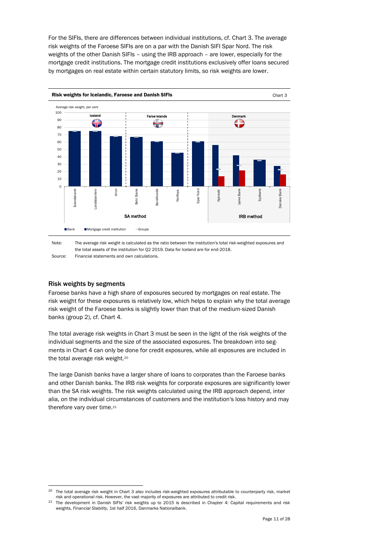For the SIFIs, there are differences between individual institutions, cf. Chart 3. The average risk weights of the Faroese SIFIs are on a par with the Danish SIFI Spar Nord. The risk weights of the other Danish SIFIs – using the IRB approach – are lower, especially for the mortgage credit institutions. The mortgage credit institutions exclusively offer loans secured by mortgages on real estate within certain statutory limits, so risk weights are lower.





### Risk weights by segments

l

Faroese banks have a high share of exposures secured by mortgages on real estate. The risk weight for these exposures is relatively low, which helps to explain why the total average risk weight of the Faroese banks is slightly lower than that of the medium-sized Danish banks (group 2), cf. Chart 4.

The total average risk weights in Chart 3 must be seen in the light of the risk weights of the individual segments and the size of the associated exposures. The breakdown into segments in Chart 4 can only be done for credit exposures, while all exposures are included in the total average risk weight. 20

The large Danish banks have a larger share of loans to corporates than the Faroese banks and other Danish banks. The IRB risk weights for corporate exposures are significantly lower than the SA risk weights. The risk weights calculated using the IRB approach depend, inter alia, on the individual circumstances of customers and the institution's loss history and may therefore vary over time. 21

<sup>&</sup>lt;sup>20</sup> The total average risk weight in Chart 3 also includes risk-weighted exposures attributable to counterparty risk, market risk and operational risk. However, the vast majority of exposures are attributed to credit risk.

<sup>&</sup>lt;sup>21</sup> The development in Danish SIFIs' risk weights up to 2015 is described in Chapter 4: Capital requirements and risk weights, *Financial Stability,* 1st half 2016, Danmarks Nationalbank.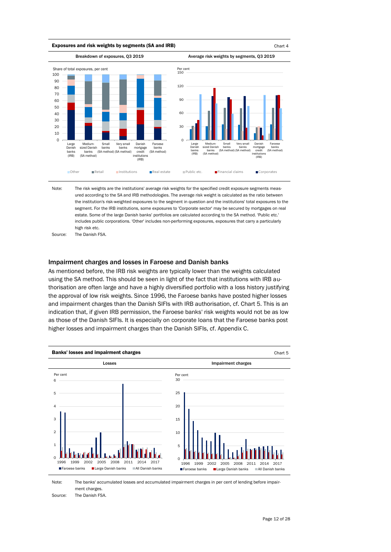

Note: Source: The risk weights are the institutions' average risk weights for the specified credit exposure segments measured according to the SA and IRB methodologies. The average risk weight is calculated as the ratio between the institution's risk-weighted exposures to the segment in question and the institutions' total exposures to the segment. For the IRB institutions, some exposures to 'Corporate sector' may be secured by mortgages on real estate. Some of the large Danish banks' portfolios are calculated according to the SA method. 'Public etc.' includes public corporations. 'Other' includes non-performing exposures, exposures that carry a particularly high risk etc. The Danish FSA.

### Impairment charges and losses in Faroese and Danish banks

As mentioned before, the IRB risk weights are typically lower than the weights calculated using the SA method. This should be seen in light of the fact that institutions with IRB authorisation are often large and have a highly diversified portfolio with a loss history justifying the approval of low risk weights. Since 1996, the Faroese banks have posted higher losses and impairment charges than the Danish SIFIs with IRB authorisation, cf. Chart 5. This is an indication that, if given IRB permission, the Faroese banks' risk weights would not be as low as those of the Danish SIFIs. It is especially on corporate loans that the Faroese banks post higher losses and impairment charges than the Danish SIFIs, cf. Appendix C.



Note: The banks' accumulated losses and accumulated impairment charges in per cent of lending before impairment charges.

Source: The Danish FSA.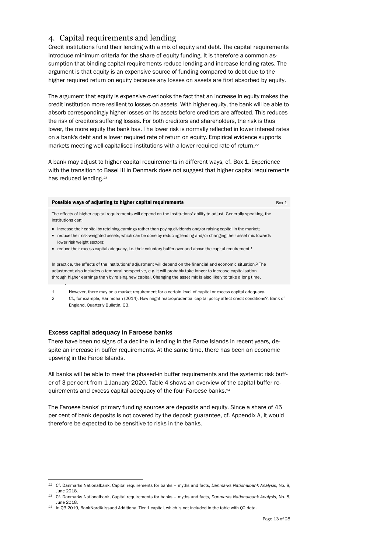## <span id="page-12-0"></span>4. Capital requirements and lending

Credit institutions fund their lending with a mix of equity and debt. The capital requirements introduce minimum criteria for the share of equity funding. It is therefore a common assumption that binding capital requirements reduce lending and increase lending rates. The argument is that equity is an expensive source of funding compared to debt due to the higher required return on equity because any losses on assets are first absorbed by equity.

The argument that equity is expensive overlooks the fact that an increase in equity makes the credit institution more resilient to losses on assets. With higher equity, the bank will be able to absorb correspondingly higher losses on its assets before creditors are affected. This reduces the risk of creditors suffering losses. For both creditors and shareholders, the risk is thus lower, the more equity the bank has. The lower risk is normally reflected in lower interest rates on a bank's debt and a lower required rate of return on equity. Empirical evidence supports markets meeting well-capitalised institutions with a lower required rate of return.<sup>22</sup>

A bank may adjust to higher capital requirements in different ways, cf. Box 1. Experience with the transition to Basel III in Denmark does not suggest that higher capital requirements has reduced lending.<sup>23</sup>

#### **Possible ways of adjusting to higher capital requirements**  $\text{Box } 1$

The effects of higher capital requirements will depend on the institutions' ability to adjust. Generally speaking, the institutions can:

- increase their capital by retaining earnings rather than paying dividends and/or raising capital in the market;
- reduce their risk-weighted assets, which can be done by reducing lending and/or changing their asset mix towards lower risk weight sectors;
- " reduce their excess capital adequacy, i.e. their voluntary buffer over and above the capital requirement.<sup>1</sup>

In practice, the effects of the institutions' adjustment will depend on the financial and economic situation.<sup>2</sup> The adjustment also includes a temporal perspective, e.g. it will probably take longer to increase capitalisation through higher earnings than by raising new capital. Changing the asset mix is also likely to take a long time.

1 However, there may be a market requirement for a certain level of capital or excess capital adequacy.

2 Cf., for example, Harimohan (2014), How might macroprudential capital policy affect credit conditions?, Bank of England, Quarterly Bulletin, Q3.

### Excess capital adequacy in Faroese banks

l

There have been no signs of a decline in lending in the Faroe Islands in recent years, despite an increase in buffer requirements. At the same time, there has been an economic upswing in the Faroe Islands.

All banks will be able to meet the phased-in buffer requirements and the systemic risk buffer of 3 per cent from 1 January 2020. Table 4 shows an overview of the capital buffer requirements and excess capital adequacy of the four Faroese banks. 24

The Faroese banks' primary funding sources are deposits and equity. Since a share of 45 per cent of bank deposits is not covered by the deposit guarantee, cf. Appendix A, it would therefore be expected to be sensitive to risks in the banks.

<sup>22</sup> Cf. Danmarks Nationalbank, Capital requirements for banks – myths and facts, *Danmarks Nationalbank Analysis*, No. 8, June 2018.

<sup>23</sup> Cf. Danmarks Nationalbank, Capital requirements for banks – myths and facts, *Danmarks Nationalbank Analysis*, No. 8, June 2018.

<sup>&</sup>lt;sup>24</sup> In Q3 2019, BankNordik issued Additional Tier 1 capital, which is not included in the table with Q2 data.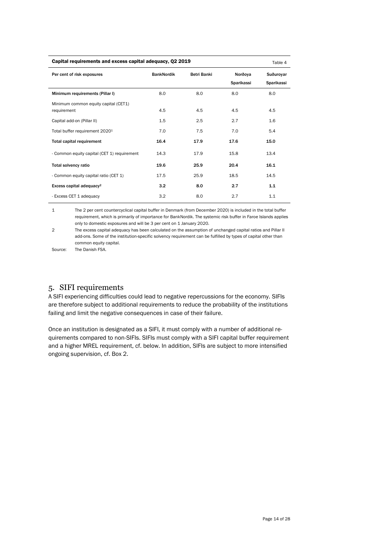| Capital requirements and excess capital adequacy, Q2 2019<br>Table 4 |                   |             |                       |                         |  |  |
|----------------------------------------------------------------------|-------------------|-------------|-----------------------|-------------------------|--|--|
| Per cent of risk exposures                                           | <b>BankNordik</b> | Betri Banki | Norðova<br>Sparikassi | Suðurovar<br>Sparikassi |  |  |
| Minimum requirements (Pillar I)                                      | 8.0               | 8.0         | 8.0                   | 8.0                     |  |  |
| Minimum common equity capital (CET1)<br>requirement                  | 4.5               | 4.5         | 4.5                   | 4.5                     |  |  |
| Capital add-on (Pillar II)                                           | 1.5               | 2.5         | 2.7                   | 1.6                     |  |  |
| Total buffer requirement 20201                                       | 7.0               | 7.5         | 7.0                   | 5.4                     |  |  |
| <b>Total capital requirement</b>                                     | 16.4              | 17.9        | 17.6                  | 15.0                    |  |  |
| - Common equity capital (CET 1) requirement                          | 14.3              | 17.9        | 15.8                  | 13.4                    |  |  |
| Total solvency ratio                                                 | 19.6              | 25.9        | 20.4                  | 16.1                    |  |  |
| - Common equity capital ratio (CET 1)                                | 17.5              | 25.9        | 18.5                  | 14.5                    |  |  |
| Excess capital adequacy <sup>2</sup>                                 | 3.2               | 8.0         | 2.7                   | 1.1                     |  |  |
| - Excess CET 1 adequacy                                              | 3.2               | 8.0         | 2.7                   | 1.1                     |  |  |

1 The 2 per cent countercyclical capital buffer in Denmark (from December 2020) is included in the total buffer requirement, which is primarily of importance for BankNordik. The systemic risk buffer in Faroe Islands applies only to domestic exposures and will be 3 per cent on 1 January 2020.

2 The excess capital adequacy has been calculated on the assumption of unchanged capital ratios and Pillar II add-ons. Some of the institution-specific solvency requirement can be fulfilled by types of capital other than common equity capital.

<span id="page-13-0"></span>Source: The Danish FSA.

## 5. SIFI requirements

A SIFI experiencing difficulties could lead to negative repercussions for the economy. SIFIs are therefore subject to additional requirements to reduce the probability of the institutions failing and limit the negative consequences in case of their failure.

Once an institution is designated as a SIFI, it must comply with a number of additional requirements compared to non-SIFIs. SIFIs must comply with a SIFI capital buffer requirement and a higher MREL requirement, cf. below. In addition, SIFIs are subject to more intensified ongoing supervision, cf. Box 2.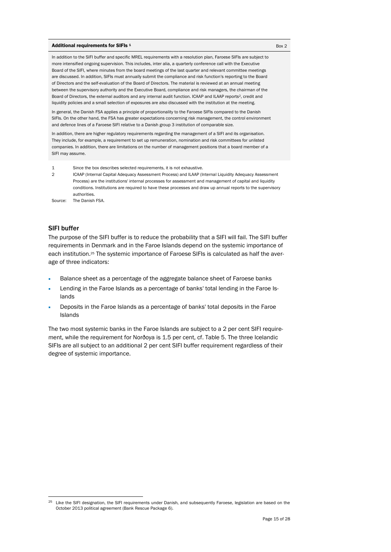#### Additional requirements for SIFIs  $\frac{1}{2}$  Box 2

In addition to the SIFI buffer and specific MREL requirements with a resolution plan, Faroese SIFIs are subject to more intensified ongoing supervision. This includes, inter alia, a quarterly conference call with the Executive Board of the SIFI, where minutes from the board meetings of the last quarter and relevant committee meetings are discussed. In addition, SIFIs must annually submit the compliance and risk function's reporting to the Board of Directors and the self-evaluation of the Board of Directors. The material is reviewed at an annual meeting between the supervisory authority and the Executive Board, compliance and risk managers, the chairman of the Board of Directors, the external auditors and any internal audit function. ICAAP and ILAAP reports<sup>2</sup>, credit and liquidity policies and a small selection of exposures are also discussed with the institution at the meeting.

In general, the Danish FSA applies a principle of proportionality to the Faroese SIFIs compared to the Danish SIFIs. On the other hand, the FSA has greater expectations concerning risk management, the control environment and defence lines of a Faroese SIFI relative to a Danish group 3 institution of comparable size.

In addition, there are higher regulatory requirements regarding the management of a SIFI and its organisation. They include, for example, a requirement to set up remuneration, nomination and risk committees for unlisted companies. In addition, there are limitations on the number of management positions that a board member of a SIFI may assume.

1 Since the box describes selected requirements, it is not exhaustive.

 $\mathcal{L}$ ICAAP (Internal Capital Adequacy Assessment Process) and ILAAP (Internal Liquidity Adequacy Assessment Process) are the institutions' internal processes for assessment and management of capital and liquidity conditions. Institutions are required to have these processes and draw up annual reports to the supervisory authorities.

Source: The Danish FSA.

### SIFI buffer

l

The purpose of the SIFI buffer is to reduce the probability that a SIFI will fail. The SIFI buffer requirements in Denmark and in the Faroe Islands depend on the systemic importance of each institution. <sup>25</sup> The systemic importance of Faroese SIFIs is calculated as half the average of three indicators:

- Balance sheet as a percentage of the aggregate balance sheet of Faroese banks
- Lending in the Faroe Islands as a percentage of banks' total lending in the Faroe Islands
- Deposits in the Faroe Islands as a percentage of banks' total deposits in the Faroe Islands

The two most systemic banks in the Faroe Islands are subject to a 2 per cent SIFI requirement, while the requirement for Norðoya is 1.5 per cent, cf. Table 5. The three Icelandic SIFIs are all subject to an additional 2 per cent SIFI buffer requirement regardless of their degree of systemic importance.

<sup>&</sup>lt;sup>25</sup> Like the SIFI designation, the SIFI requirements under Danish, and subsequently Faroese, legislation are based on the October 2013 political agreement (Bank Rescue Package 6).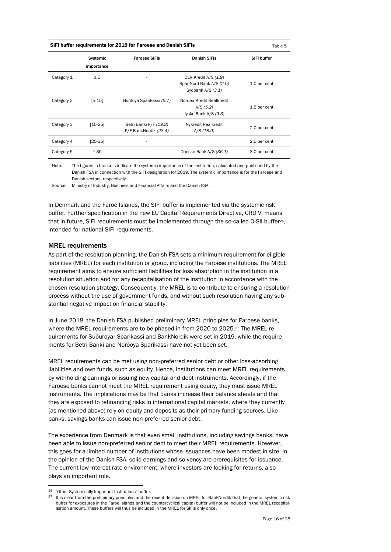| SIFI buffer requirements for 2019 for Faroese and Danish SIFIs | Table 5 |
|----------------------------------------------------------------|---------|
|----------------------------------------------------------------|---------|

|            | Systemic<br>importance | <b>Faroese SIFIs</b>     | Danish SIFIs             | SIFI buffer  |
|------------|------------------------|--------------------------|--------------------------|--------------|
| Category 1 | $\leq 5$               |                          | DLR Kredit A/S (1.9)     |              |
|            |                        |                          | Spar Nord Bank A/S (2.0) | 1.0 per cent |
|            |                        |                          | Sydbank $A/S(3.1)$       |              |
| Category 2 | $[5-15]$               | Norðoya Sparikassi (5.7) | Nordea Kredit Realkredit |              |
|            |                        |                          | A/S (5.2)                | 1.5 per cent |
|            |                        |                          | Jyske Bank A/S (9.3)     |              |
| Category 3 | $[15-25]$              | Betri Banki P/F (19.2)   | Nykredit Realkredit      |              |
|            |                        | P/F BankNordik (23.4)    | A/S (18.9)               | 2.0 per cent |
| Category 4 | $[25-35]$              | -                        |                          | 2.5 per cent |
| Category 5 | $\geq 35$              | -                        | Danske Bank A/S (36.1)   | 3.0 per cent |

Note: The figures in brackets indicate the systemic importance of the institution, calculated and published by the Danish FSA in connection with the SIFI designation for 2019. The systemic importance is for the Faroese and Danish sectors, respectively.

Source: Ministry of Industry, Business and Financial Affairs and the Danish FSA.

In Denmark and the Faroe Islands, the SIFI buffer is implemented via the systemic risk buffer. Further specification in the new EU Capital Requirements Directive, CRD V, means that in future, SIFI requirements must be implemented through the so-called O-SII buffer26, intended for national SIFI requirements.

### MREL requirements

As part of the resolution planning, the Danish FSA sets a minimum requirement for eligible liabilities (MREL) for each institution or group, including the Faroese institutions. The MREL requirement aims to ensure sufficient liabilities for loss absorption in the institution in a resolution situation and for any recapitalisation of the institution in accordance with the chosen resolution strategy. Consequently, the MREL is to contribute to ensuring a resolution process without the use of government funds, and without such resolution having any substantial negative impact on financial stability.

In June 2018, the Danish FSA published preliminary MREL principles for Faroese banks, where the MREL requirements are to be phased in from 2020 to 2025.<sup>27</sup> The MREL requirements for Suðuroyar Sparikassi and BankNordik were set in 2019, while the requirements for Betri Banki and Norðoya Sparikassi have not yet been set.

MREL requirements can be met using non-preferred senior debt or other loss-absorbing liabilities and own funds, such as equity. Hence, institutions can meet MREL requirements by withholding earnings or issuing new capital and debt instruments. Accordingly, if the Faroese banks cannot meet the MREL requirement using equity, they must issue MREL instruments. The implications may be that banks increase their balance sheets and that they are exposed to refinancing risks in international capital markets, where they currently (as mentioned above) rely on equity and deposits as their primary funding sources. Like banks, savings banks can issue non-preferred senior debt.

The experience from Denmark is that even small institutions, including savings banks, have been able to issue non-preferred senior debt to meet their MREL requirements. However, this goes for a limited number of institutions whose issuances have been modest in size. In the opinion of the Danish FSA, solid earnings and solvency are prerequisites for issuance. The current low interest rate environment, where investors are looking for returns, also plays an important role.

<sup>26</sup> "Other Systemically Important Institutions" buffer.

<sup>&</sup>lt;sup>27</sup> It is clear from the preliminary principles and the recent decision on MREL for BankNordik that the general systemic risk buffer for exposures in the Faroe Islands and the countercyclical capital buffer will not be included in the MREL recapitalisation amount. These buffers will thus be included in the MREL for SIFIs only once.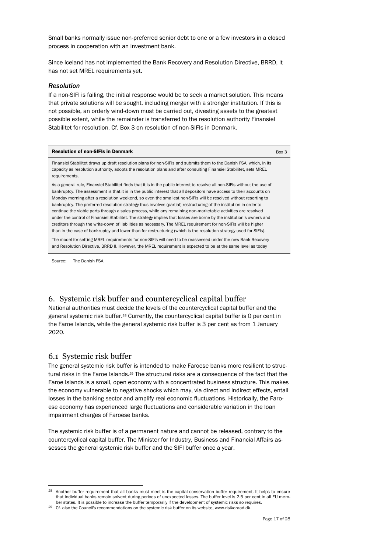Small banks normally issue non-preferred senior debt to one or a few investors in a closed process in cooperation with an investment bank.

Since Iceland has not implemented the Bank Recovery and Resolution Directive, BRRD, it has not set MREL requirements yet.

### *Resolution*

If a non-SIFI is failing, the initial response would be to seek a market solution. This means that private solutions will be sought, including merger with a stronger institution. If this is not possible, an orderly wind-down must be carried out, divesting assets to the greatest possible extent, while the remainder is transferred to the resolution authority Finansiel Stabilitet for resolution. Cf. Box 3 on resolution of non-SIFIs in Denmark.

| <b>Resolution of non-SIFIs in Denmark</b> | Box 3 |
|-------------------------------------------|-------|
|                                           |       |

Finansiel Stabilitet draws up draft resolution plans for non-SIFIs and submits them to the Danish FSA, which, in its capacity as resolution authority, adopts the resolution plans and after consulting Finansiel Stabilitet, sets MREL requirements.

As a general rule, Finansiel Stabilitet finds that it is in the public interest to resolve all non-SIFIs without the use of bankruptcy. The assessment is that it is in the public interest that all depositors have access to their accounts on Monday morning after a resolution weekend, so even the smallest non-SIFIs will be resolved without resorting to bankruptcy. The preferred resolution strategy thus involves (partial) restructuring of the institution in order to continue the viable parts through a sales process, while any remaining non-marketable activities are resolved under the control of Finansiel Stabilitet. The strategy implies that losses are borne by the institution's owners and creditors through the write-down of liabilities as necessary. The MREL requirement for non-SIFIs will be higher than in the case of bankruptcy and lower than for restructuring (which is the resolution strategy used for SIFIs).

The model for setting MREL requirements for non-SIFIs will need to be reassessed under the new Bank Recovery and Resolution Directive, BRRD II. However, the MREL requirement is expected to be at the same level as today

<span id="page-16-0"></span>Source: The Danish FSA.

## 6. Systemic risk buffer and countercyclical capital buffer

National authorities must decide the levels of the countercyclical capital buffer and the general systemic risk buffer. <sup>28</sup> Currently, the countercyclical capital buffer is 0 per cent in the Faroe Islands, while the general systemic risk buffer is 3 per cent as from 1 January 2020.

## <span id="page-16-1"></span>6.1 Systemic risk buffer

l

The general systemic risk buffer is intended to make Faroese banks more resilient to structural risks in the Faroe Islands.<sup>29</sup> The structural risks are a consequence of the fact that the Faroe Islands is a small, open economy with a concentrated business structure. This makes the economy vulnerable to negative shocks which may, via direct and indirect effects, entail losses in the banking sector and amplify real economic fluctuations. Historically, the Faroese economy has experienced large fluctuations and considerable variation in the loan impairment charges of Faroese banks.

The systemic risk buffer is of a permanent nature and cannot be released, contrary to the countercyclical capital buffer. The Minister for Industry, Business and Financial Affairs assesses the general systemic risk buffer and the SIFI buffer once a year.

<sup>&</sup>lt;sup>28</sup> Another buffer requirement that all banks must meet is the capital conservation buffer requirement. It helps to ensure that individual banks remain solvent during periods of unexpected losses. The buffer level is 2.5 per cent in all EU member states. It is possible to increase the buffer temporarily if the development of systemic risks so requires.

<sup>29</sup> Cf. also the Council's recommendations on the systemic risk buffer on its website, www.risikoraad.dk.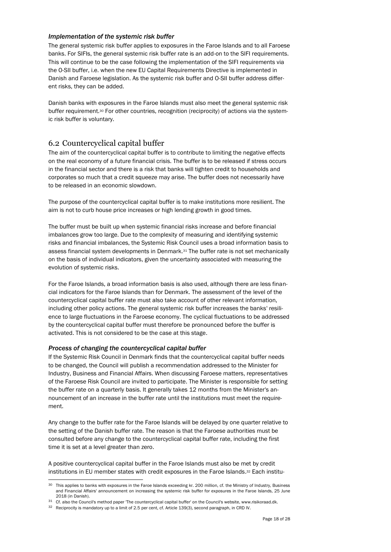### *Implementation of the systemic risk buffer*

The general systemic risk buffer applies to exposures in the Faroe Islands and to all Faroese banks. For SIFIs, the general systemic risk buffer rate is an add-on to the SIFI requirements. This will continue to be the case following the implementation of the SIFI requirements via the O-SII buffer, i.e. when the new EU Capital Requirements Directive is implemented in Danish and Faroese legislation. As the systemic risk buffer and O-SII buffer address different risks, they can be added.

Danish banks with exposures in the Faroe Islands must also meet the general systemic risk buffer requirement. <sup>30</sup> For other countries, recognition (reciprocity) of actions via the systemic risk buffer is voluntary.

## <span id="page-17-0"></span>6.2 Countercyclical capital buffer

The aim of the countercyclical capital buffer is to contribute to limiting the negative effects on the real economy of a future financial crisis. The buffer is to be released if stress occurs in the financial sector and there is a risk that banks will tighten credit to households and corporates so much that a credit squeeze may arise. The buffer does not necessarily have to be released in an economic slowdown.

The purpose of the countercyclical capital buffer is to make institutions more resilient. The aim is not to curb house price increases or high lending growth in good times.

The buffer must be built up when systemic financial risks increase and before financial imbalances grow too large. Due to the complexity of measuring and identifying systemic risks and financial imbalances, the Systemic Risk Council uses a broad information basis to assess financial system developments in Denmark.<sup>31</sup> The buffer rate is not set mechanically on the basis of individual indicators, given the uncertainty associated with measuring the evolution of systemic risks.

For the Faroe Islands, a broad information basis is also used, although there are less financial indicators for the Faroe Islands than for Denmark. The assessment of the level of the countercyclical capital buffer rate must also take account of other relevant information, including other policy actions. The general systemic risk buffer increases the banks' resilience to large fluctuations in the Faroese economy. The cyclical fluctuations to be addressed by the countercyclical capital buffer must therefore be pronounced before the buffer is activated. This is not considered to be the case at this stage.

### *Process of changing the countercyclical capital buffer*

l

If the Systemic Risk Council in Denmark finds that the countercyclical capital buffer needs to be changed, the Council will publish a recommendation addressed to the Minister for Industry, Business and Financial Affairs. When discussing Faroese matters, representatives of the Faroese Risk Council are invited to participate. The Minister is responsible for setting the buffer rate on a quarterly basis. It generally takes 12 months from the Minister's announcement of an increase in the buffer rate until the institutions must meet the requirement.

Any change to the buffer rate for the Faroe Islands will be delayed by one quarter relative to the setting of the Danish buffer rate. The reason is that the Faroese authorities must be consulted before any change to the countercyclical capital buffer rate, including the first time it is set at a level greater than zero.

A positive countercyclical capital buffer in the Faroe Islands must also be met by credit institutions in EU member states with credit exposures in the Faroe Islands. <sup>32</sup> Each institu-

<sup>30</sup> This applies to banks with exposures in the Faroe Islands exceeding kr. 200 million, cf. the Ministry of Industry, Business and Financial Affairs' announcement on increasing the systemic risk buffer for exposures in the Faroe Islands, 25 June 2018 (in Danish).

<sup>&</sup>lt;sup>31</sup> Cf. also the Council's method paper 'The countercyclical capital buffer' on the Council's website, www.risikoraad.dk.

<sup>32</sup> Reciprocity is mandatory up to a limit of 2.5 per cent, cf. Article 139(3), second paragraph, in CRD IV.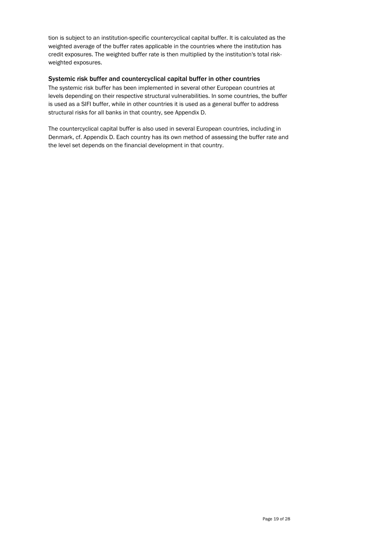tion is subject to an institution-specific countercyclical capital buffer. It is calculated as the weighted average of the buffer rates applicable in the countries where the institution has credit exposures. The weighted buffer rate is then multiplied by the institution's total riskweighted exposures.

### Systemic risk buffer and countercyclical capital buffer in other countries

The systemic risk buffer has been implemented in several other European countries at levels depending on their respective structural vulnerabilities. In some countries, the buffer is used as a SIFI buffer, while in other countries it is used as a general buffer to address structural risks for all banks in that country, see Appendix D.

The countercyclical capital buffer is also used in several European countries, including in Denmark, cf. Appendix D. Each country has its own method of assessing the buffer rate and the level set depends on the financial development in that country.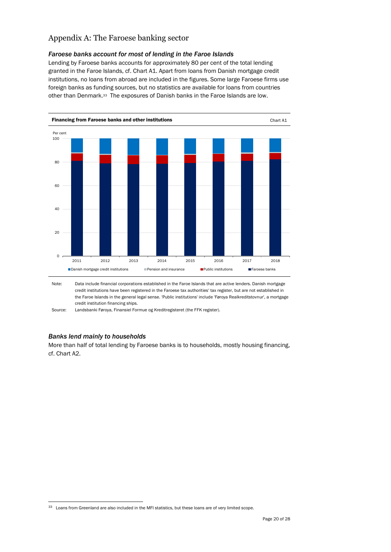# <span id="page-19-0"></span>Appendix A: The Faroese banking sector

## *Faroese banks account for most of lending in the Faroe Islands*

Lending by Faroese banks accounts for approximately 80 per cent of the total lending granted in the Faroe Islands, cf. Chart A1. Apart from loans from Danish mortgage credit institutions, no loans from abroad are included in the figures. Some large Faroese firms use foreign banks as funding sources, but no statistics are available for loans from countries other than Denmark.33 The exposures of Danish banks in the Faroe Islands are low.





Source: Landsbanki Føroya, Finansiel Formue og Kreditregisteret (the FFK register).

## *Banks lend mainly to households*

l

More than half of total lending by Faroese banks is to households, mostly housing financing, cf. Chart A2.

<sup>33</sup> Loans from Greenland are also included in the MFI statistics, but these loans are of very limited scope.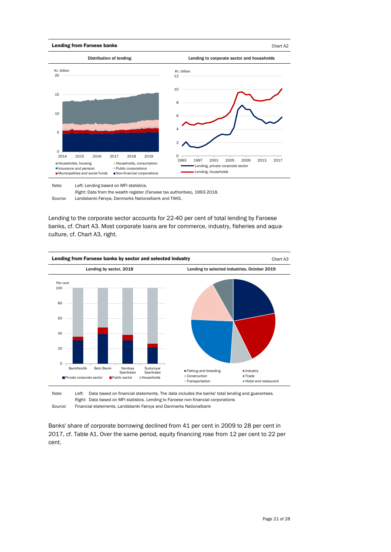

Note: *Left:* Lending based on MFI statistics*.*

*Right:* Data from the wealth register (Faroese tax authorities), 1993-2018.

Lending to the corporate sector accounts for 22-40 per cent of total lending by Faroese banks, cf. Chart A3. Most corporate loans are for commerce, industry, fisheries and aquaculture, cf. Chart A3, right.



Note: Source: *Left*: Data based on financial statements. The data includes the banks' total lending and guarantees. *Right*: Data based on MFI statistics. Lending to Faroese non-financial corporations Financial statements, Landsbanki Føroya and Danmarks Nationalbank

Banks' share of corporate borrowing declined from 41 per cent in 2009 to 28 per cent in 2017, cf. Table A1. Over the same period, equity financing rose from 12 per cent to 22 per cent.

Source: Landsbanki Føroya, Danmarks Nationalbank and TAKS.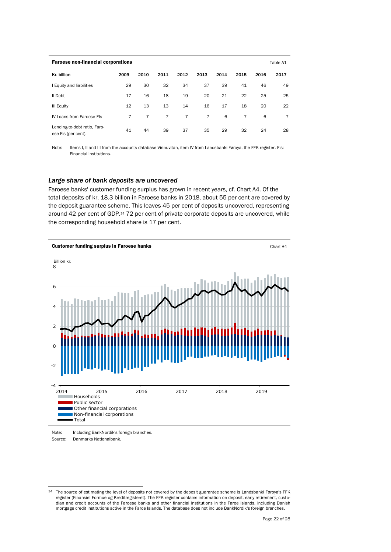| <b>Faroese non-financial corporations</b>           |                |      |                |                |                | Table A1 |                |      |                |
|-----------------------------------------------------|----------------|------|----------------|----------------|----------------|----------|----------------|------|----------------|
| Kr. billion                                         | 2009           | 2010 | 2011           | 2012           | 2013           | 2014     | 2015           | 2016 | 2017           |
| I Equity and liabilities                            | 29             | 30   | 32             | 34             | 37             | 39       | 41             | 46   | 49             |
| II Debt                                             | 17             | 16   | 18             | 19             | 20             | 21       | 22             | 25   | 25             |
| III Equity                                          | 12             | 13   | 13             | 14             | 16             | 17       | 18             | 20   | 22             |
| IV Loans from Faroese Fls                           | $\overline{7}$ | 7    | $\overline{7}$ | $\overline{7}$ | $\overline{7}$ | 6        | $\overline{7}$ | 6    | $\overline{7}$ |
| Lending-to-debt ratio, Faro-<br>ese Fls (per cent). | 41             | 44   | 39             | 37             | 35             | 29       | 32             | 24   | 28             |

Note: Items I, II and III from the accounts database Vinnuvitan, item IV from Landsbanki Føroya, the FFK register. FIs: Financial institutions.

### *Large share of bank deposits are uncovered*

Faroese banks' customer funding surplus has grown in recent years, cf. Chart A4. Of the total deposits of kr. 18.3 billion in Faroese banks in 2018, about 55 per cent are covered by the deposit guarantee scheme. This leaves 45 per cent of deposits uncovered, representing around 42 per cent of GDP.<sup>34</sup> 72 per cent of private corporate deposits are uncovered, while the corresponding household share is 17 per cent.



Note: Source: Including BankNordik's foreign branches. Danmarks Nationalbank.

<sup>34</sup> The source of estimating the level of deposits not covered by the deposit guarantee scheme is Landsbanki Føroya's FFK register (Finansiel Formue og Kreditregisteret). The FFK register contains information on deposit, early retirement, custo-<br>dian and credit accounts of the Faroese banks and other financial institutions in the Faroe Island mortgage credit institutions active in the Faroe Islands. The database does not include BankNordik's foreign branches.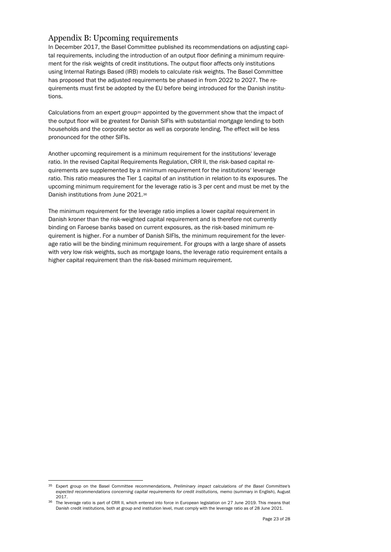## <span id="page-22-0"></span>Appendix B: Upcoming requirements

In December 2017, the Basel Committee published its recommendations on adjusting capital requirements, including the introduction of an output floor defining a minimum requirement for the risk weights of credit institutions. The output floor affects only institutions using Internal Ratings Based (IRB) models to calculate risk weights. The Basel Committee has proposed that the adjusted requirements be phased in from 2022 to 2027. The requirements must first be adopted by the EU before being introduced for the Danish institutions.

Calculations from an expert group<sup>35</sup> appointed by the government show that the impact of the output floor will be greatest for Danish SIFIs with substantial mortgage lending to both households and the corporate sector as well as corporate lending. The effect will be less pronounced for the other SIFIs.

Another upcoming requirement is a minimum requirement for the institutions' leverage ratio. In the revised Capital Requirements Regulation, CRR II, the risk-based capital requirements are supplemented by a minimum requirement for the institutions' leverage ratio. This ratio measures the Tier 1 capital of an institution in relation to its exposures. The upcoming minimum requirement for the leverage ratio is 3 per cent and must be met by the Danish institutions from June 2021.<sup>36</sup>

The minimum requirement for the leverage ratio implies a lower capital requirement in Danish kroner than the risk-weighted capital requirement and is therefore not currently binding on Faroese banks based on current exposures, as the risk-based minimum requirement is higher. For a number of Danish SIFIs, the minimum requirement for the leverage ratio will be the binding minimum requirement. For groups with a large share of assets with very low risk weights, such as mortgage loans, the leverage ratio requirement entails a higher capital requirement than the risk-based minimum requirement.

<sup>35</sup> Expert group on the Basel Committee recommendations, *Preliminary impact calculations of the Basel Committee's expected recommendations concerning capital requirements for credit institutions,* memo (summary in English), August 2017.

<sup>&</sup>lt;sup>36</sup> The leverage ratio is part of CRR II, which entered into force in European legislation on 27 June 2019. This means that Danish credit institutions, both at group and institution level, must comply with the leverage ratio as of 28 June 2021.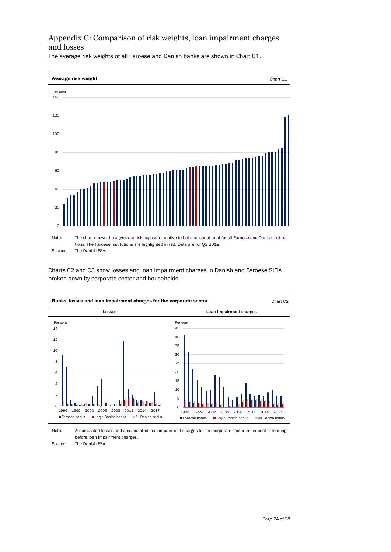# <span id="page-23-0"></span>Appendix C: Comparison of risk weights, loan impairment charges and losses

The average risk weights of all Faroese and Danish banks are shown in Chart C1.



Charts C2 and C3 show losses and loan impairment charges in Danish and Faroese SIFIs broken down by corporate sector and households.



Note: Accumulated losses and accumulated loan impairment charges for the corporate sector in per cent of lending before loan impairment charges.

Source: The Danish FSA.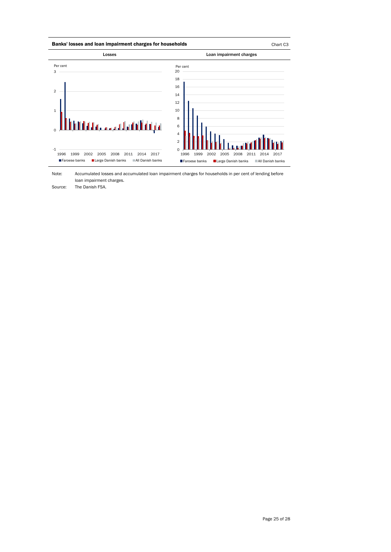

Note: Accumulated losses and accumulated loan impairment charges for households in per cent of lending before loan impairment charges.

Source: The Danish FSA.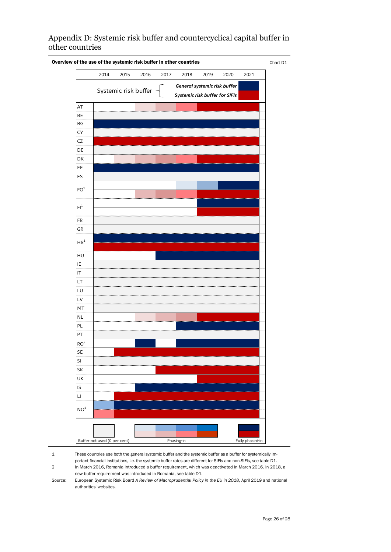<span id="page-25-0"></span>Appendix D: Systemic risk buffer and countercyclical capital buffer in other countries



1 2 These countries use both the general systemic buffer and the systemic buffer as a buffer for systemically important financial institutions, i.e. the systemic buffer rates are different for SIFIs and non-SIFIs, see table D1. In March 2016, Romania introduced a buffer requirement, which was deactivated in March 2016. In 2018, a

new buffer requirement was introduced in Romania, see table D1.

Source: European Systemic Risk Board *A Review of Macroprudential Policy in the EU in 2018*, April 2019 and national authorities' websites.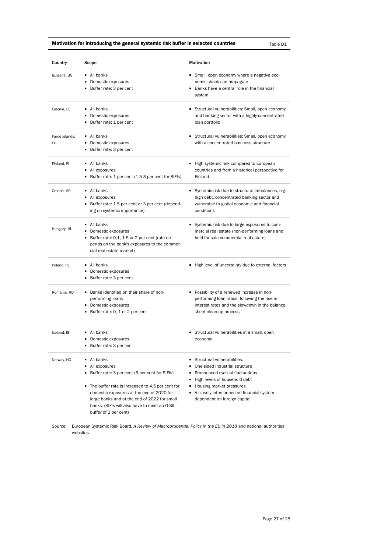### Motivation for introducing the general systemic risk buffer in selected countries  $\Box$  Table D1

| Country                          | Scope                                                                                                                                                                                                                                                                                                          | <b>Motivation</b>                                                                                                                                                                                                                                |
|----------------------------------|----------------------------------------------------------------------------------------------------------------------------------------------------------------------------------------------------------------------------------------------------------------------------------------------------------------|--------------------------------------------------------------------------------------------------------------------------------------------------------------------------------------------------------------------------------------------------|
| Bulgaria, BG                     | All banks<br>Domestic exposures<br>Buffer rate: 3 per cent                                                                                                                                                                                                                                                     | Small, open economy where a negative eco-<br>nomic shock can propagate<br>Banks have a central role in the financial<br>system                                                                                                                   |
| Estonia, EE                      | All banks<br>• Domestic exposures<br>■ Buffer rate: 1 per cent                                                                                                                                                                                                                                                 | Structural vulnerabilities: Small, open economy<br>and banking sector with a highly concentrated<br>loan portfolio                                                                                                                               |
| Faroe Islands,<br>F <sub>O</sub> | • All banks<br>• Domestic exposures<br>Buffer rate: 3 per cent                                                                                                                                                                                                                                                 | Structural vulnerabilities: Small, open economy<br>with a concentrated business structure                                                                                                                                                        |
| Finland, Fl                      | All banks<br>■ All exposures<br>Buffer rate: 1 per cent (1.5-3 per cent for SIFIs)                                                                                                                                                                                                                             | ■ High systemic risk compared to European<br>countries and from a historical perspective for<br>Finland                                                                                                                                          |
| Croatia, HR                      | All banks<br>■ All exposures<br>■ Buffer rate: 1.5 per cent or 3 per cent (depend-<br>ing on systemic importance)                                                                                                                                                                                              | Systemic risk due to structural imbalances, e.g.<br>high debt, concentrated banking sector and<br>vulnerable to global economic and financial<br>conditions                                                                                      |
| Hungary, HU                      | All banks<br>Domestic exposures<br>Buffer rate: 0,1, 1.5 or 2 per cent (rate de-<br>pends on the bank's exposures to the commer-<br>cial real estate market)                                                                                                                                                   | Systemic risk due to large exposures to com-<br>mercial real estate (non-performing loans and<br>held-for-sale commercial real estate)                                                                                                           |
| Poland, PL                       | ■ All banks<br>• Domestic exposures<br>Buffer rate: 3 per cent                                                                                                                                                                                                                                                 | ■ High level of uncertainty due to external factors                                                                                                                                                                                              |
| Romania, RO                      | ■ Banks identified on their share of non-<br>performing loans<br>• Domestic exposures<br>Buffer rate: 0, 1 or 2 per cent                                                                                                                                                                                       | Possibility of a renewed increase in non-<br>performing loan ratios, following the rise in<br>interest rates and the slowdown in the balance<br>sheet clean-up process                                                                           |
| Iceland, IS                      | ■ All banks<br>• Domestic exposures<br>Buffer rate: 3 per cent                                                                                                                                                                                                                                                 | Structural vulnerabilities in a small, open<br>economy                                                                                                                                                                                           |
| Norway, NO                       | All banks<br>٠<br>- All exposures<br>Buffer rate: 3 per cent (5 per cent for SIFIs)<br>The buffer rate is increased to 4.5 per cent for<br>domestic exposures at the end of 2020 for<br>large banks and at the end of 2022 for small<br>banks. (SIFIs will also have to meet an O-SII<br>buffer of 2 per cent) | Structural vulnerabilities:<br>One-sided industrial structure<br>Pronounced cyclical fluctuations<br>High levels of household debt<br>٠<br>Housing market pressures<br>A closely interconnected financial system<br>dependent on foreign capital |

Source: European Systemic Risk Board, *A Review of Macroprudential Policy in the EU in 2018* and national authorities' websites.